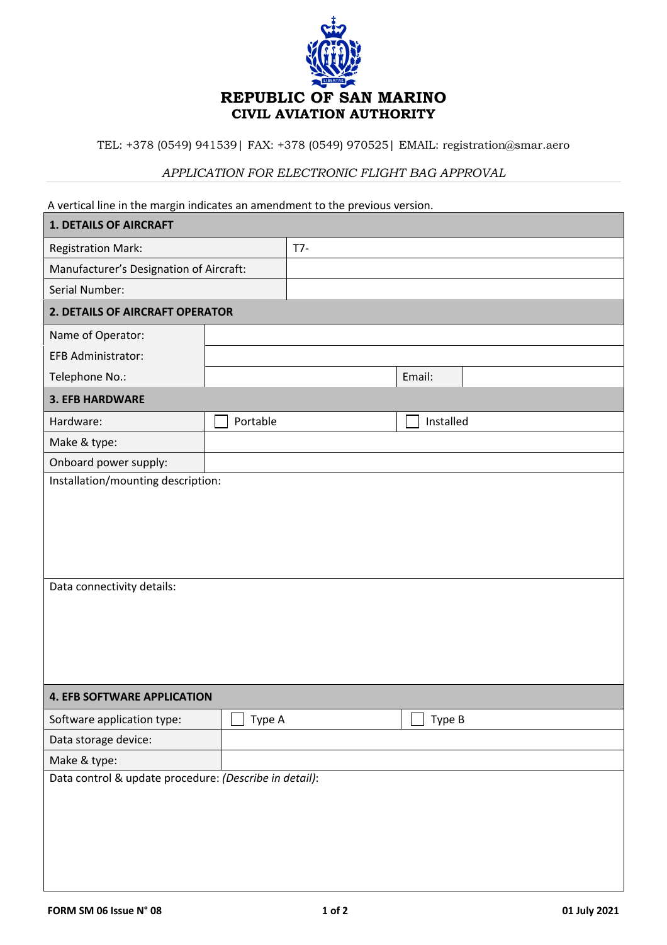

TEL: +378 (0549) 941539| FAX: +378 (0549) 970525| EMAIL: registration@smar.aero

## *APPLICATION FOR ELECTRONIC FLIGHT BAG APPROVAL*

A vertical line in the margin indicates an amendment to the previous version.

| <b>1. DETAILS OF AIRCRAFT</b>                          |               |       |               |  |  |  |  |  |
|--------------------------------------------------------|---------------|-------|---------------|--|--|--|--|--|
| <b>Registration Mark:</b>                              |               | $T7-$ |               |  |  |  |  |  |
| Manufacturer's Designation of Aircraft:                |               |       |               |  |  |  |  |  |
| Serial Number:                                         |               |       |               |  |  |  |  |  |
| 2. DETAILS OF AIRCRAFT OPERATOR                        |               |       |               |  |  |  |  |  |
| Name of Operator:                                      |               |       |               |  |  |  |  |  |
| <b>EFB Administrator:</b>                              |               |       |               |  |  |  |  |  |
| Telephone No.:                                         |               |       | Email:        |  |  |  |  |  |
| <b>3. EFB HARDWARE</b>                                 |               |       |               |  |  |  |  |  |
| Hardware:                                              | Portable      |       | Installed     |  |  |  |  |  |
| Make & type:                                           |               |       |               |  |  |  |  |  |
| Onboard power supply:                                  |               |       |               |  |  |  |  |  |
| Installation/mounting description:                     |               |       |               |  |  |  |  |  |
| Data connectivity details:                             |               |       |               |  |  |  |  |  |
| <b>4. EFB SOFTWARE APPLICATION</b>                     |               |       |               |  |  |  |  |  |
| Software application type:                             | $\Box$ Type A |       | $\Box$ Type B |  |  |  |  |  |
| Data storage device:                                   |               |       |               |  |  |  |  |  |
| Make & type:                                           |               |       |               |  |  |  |  |  |
| Data control & update procedure: (Describe in detail): |               |       |               |  |  |  |  |  |